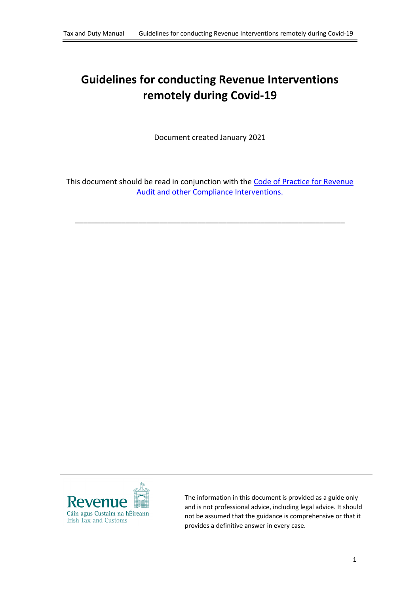# **Guidelines for conducting Revenue Interventions remotely during Covid-19**

Document created January 2021

This document should be read in conjunction with the [Code](https://www.revenue.ie/en/self-assessment-and-self-employment/documents/code-of-practice-revenue-audit.pdf) [of](https://www.revenue.ie/en/self-assessment-and-self-employment/documents/code-of-practice-revenue-audit.pdf) [Practice](https://www.revenue.ie/en/self-assessment-and-self-employment/documents/code-of-practice-revenue-audit.pdf) [for](https://www.revenue.ie/en/self-assessment-and-self-employment/documents/code-of-practice-revenue-audit.pdf) [Revenue](https://www.revenue.ie/en/self-assessment-and-self-employment/documents/code-of-practice-revenue-audit.pdf) [Audit](https://www.revenue.ie/en/self-assessment-and-self-employment/documents/code-of-practice-revenue-audit.pdf) [and](https://www.revenue.ie/en/self-assessment-and-self-employment/documents/code-of-practice-revenue-audit.pdf) [other](https://www.revenue.ie/en/self-assessment-and-self-employment/documents/code-of-practice-revenue-audit.pdf) [Compliance](https://www.revenue.ie/en/self-assessment-and-self-employment/documents/code-of-practice-revenue-audit.pdf) [Interventions.](https://www.revenue.ie/en/self-assessment-and-self-employment/documents/code-of-practice-revenue-audit.pdf)

\_\_\_\_\_\_\_\_\_\_\_\_\_\_\_\_\_\_\_\_\_\_\_\_\_\_\_\_\_\_\_\_\_\_\_\_\_\_\_\_\_\_\_\_\_\_\_\_\_\_\_\_\_\_\_\_\_\_\_\_\_\_\_\_



The information in this document is provided as a guide only and is not professional advice, including legal advice. It should not be assumed that the guidance is comprehensive or that it provides a definitive answer in every case.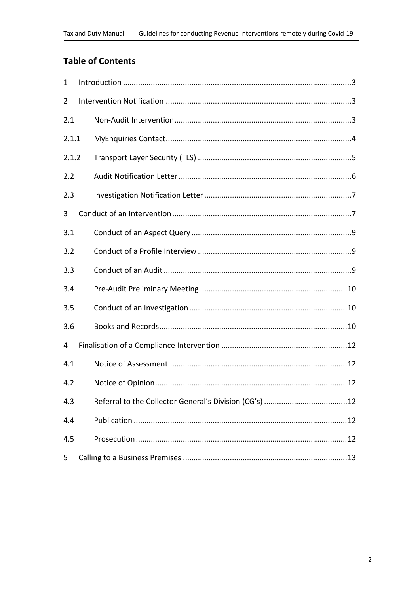### **Table of Contents**

| $\mathbf{1}$   |  |
|----------------|--|
| $\overline{2}$ |  |
| 2.1            |  |
| 2.1.1          |  |
| 2.1.2          |  |
| 2.2            |  |
| 2.3            |  |
| 3              |  |
| 3.1            |  |
| 3.2            |  |
| 3.3            |  |
| 3.4            |  |
| 3.5            |  |
| 3.6            |  |
| 4              |  |
| 4.1            |  |
| 4.2            |  |
| 4.3            |  |
| 4.4            |  |
| 4.5            |  |
| 5              |  |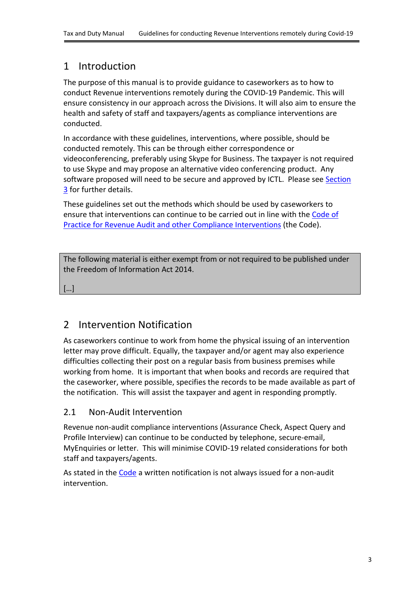## <span id="page-2-0"></span>1 Introduction

The purpose of this manual is to provide guidance to caseworkers as to how to conduct Revenue interventions remotely during the COVID-19 Pandemic. This will ensure consistency in our approach across the Divisions. It will also aim to ensure the health and safety of staff and taxpayers/agents as compliance interventions are conducted.

In accordance with these guidelines, interventions, where possible, should be conducted remotely. This can be through either correspondence or videoconferencing, preferably using Skype for Business. The taxpayer is not required to use Skype and may propose an alternative video conferencing product. Any software proposed will need to be secure and approved by ICTL. Please see [Section](#page-6-1) [3](#page-6-1) for further details.

These guidelines set out the methods which should be used by caseworkers to ensure that interventions can continue to be carried out in line with the [Code](https://www.revenue.ie/en/self-assessment-and-self-employment/documents/code-of-practice-revenue-audit.pdf) [of](https://www.revenue.ie/en/self-assessment-and-self-employment/documents/code-of-practice-revenue-audit.pdf) [Practice](https://www.revenue.ie/en/self-assessment-and-self-employment/documents/code-of-practice-revenue-audit.pdf) [for](https://www.revenue.ie/en/self-assessment-and-self-employment/documents/code-of-practice-revenue-audit.pdf) [Revenue](https://www.revenue.ie/en/self-assessment-and-self-employment/documents/code-of-practice-revenue-audit.pdf) [Audit](https://www.revenue.ie/en/self-assessment-and-self-employment/documents/code-of-practice-revenue-audit.pdf) [and](https://www.revenue.ie/en/self-assessment-and-self-employment/documents/code-of-practice-revenue-audit.pdf) [other](https://www.revenue.ie/en/self-assessment-and-self-employment/documents/code-of-practice-revenue-audit.pdf) [Compliance](https://www.revenue.ie/en/self-assessment-and-self-employment/documents/code-of-practice-revenue-audit.pdf) [Interventions](https://www.revenue.ie/en/self-assessment-and-self-employment/documents/code-of-practice-revenue-audit.pdf) (the Code).

The following material is either exempt from or not required to be published under the Freedom of Information Act 2014.

[…]

# <span id="page-2-1"></span>2 Intervention Notification

As caseworkers continue to work from home the physical issuing of an intervention letter may prove difficult. Equally, the taxpayer and/or agent may also experience difficulties collecting their post on a regular basis from business premises while working from home. It is important that when books and records are required that the caseworker, where possible, specifies the records to be made available as part of the notification. This will assist the taxpayer and agent in responding promptly.

### <span id="page-2-2"></span>2.1 Non-Audit Intervention

Revenue non-audit compliance interventions (Assurance Check, Aspect Query and Profile Interview) can continue to be conducted by telephone, secure-email, MyEnquiries or letter. This will minimise COVID-19 related considerations for both staff and taxpayers/agents.

As stated in the [Code](https://www.revenue.ie/en/self-assessment-and-self-employment/documents/code-of-practice-revenue-audit.pdf) a written notification is not always issued for a non-audit intervention.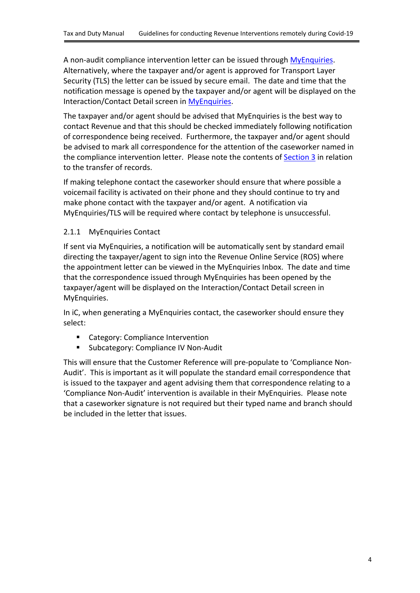A non-audit compliance intervention letter can be issued through [MyEnquiries](https://www.revenue.ie/en/tax-professionals/tdm/income-tax-capital-gains-tax-corporation-tax/part-37/37-00-36.pdf). Alternatively, where the taxpayer and/or agent is approved for Transport Layer Security (TLS) the letter can be issued by secure email. The date and time that the notification message is opened by the taxpayer and/or agent will be displayed on the Interaction/Contact Detail screen in [MyEnquiries.](https://www.revenue.ie/en/online-services/services/manage-your-record/myenquiries.aspx)

The taxpayer and/or agent should be advised that MyEnquiries is the best way to contact Revenue and that this should be checked immediately following notification of correspondence being received. Furthermore, the taxpayer and/or agent should be advised to mark all correspondence for the attention of the caseworker named in the compliance intervention letter. Please note the contents of [Section](#page-6-1) [3](#page-6-1) in relation to the transfer of records.

If making telephone contact the caseworker should ensure that where possible a voicemail facility is activated on their phone and they should continue to try and make phone contact with the taxpayer and/or agent. A notification via MyEnquiries/TLS will be required where contact by telephone is unsuccessful.

#### <span id="page-3-0"></span>2.1.1 MyEnquiries Contact

If sent via MyEnquiries, a notification will be automatically sent by standard email directing the taxpayer/agent to sign into the Revenue Online Service (ROS) where the appointment letter can be viewed in the MyEnquiries Inbox. The date and time that the correspondence issued through MyEnquiries has been opened by the taxpayer/agent will be displayed on the Interaction/Contact Detail screen in MyEnquiries.

In iC, when generating a MyEnquiries contact, the caseworker should ensure they select:

- Category: Compliance Intervention
- Subcategory: Compliance IV Non-Audit

This will ensure that the Customer Reference will pre-populate to 'Compliance Non-Audit'. This is important as it will populate the standard email correspondence that is issued to the taxpayer and agent advising them that correspondence relating to a 'Compliance Non-Audit' intervention is available in their MyEnquiries. Please note that a caseworker signature is not required but their typed name and branch should be included in the letter that issues.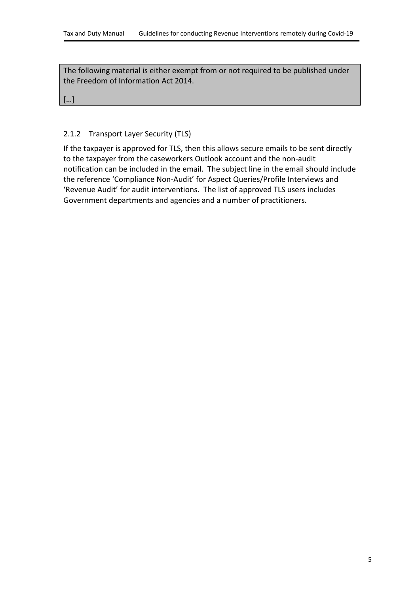[…]

#### <span id="page-4-0"></span>2.1.2 Transport Layer Security (TLS)

If the taxpayer is approved for TLS, then this allows secure emails to be sent directly to the taxpayer from the caseworkers Outlook account and the non-audit notification can be included in the email. The subject line in the email should include the reference 'Compliance Non-Audit' for Aspect Queries/Profile Interviews and 'Revenue Audit' for audit interventions. The list of approved TLS users includes Government departments and agencies and a number of practitioners.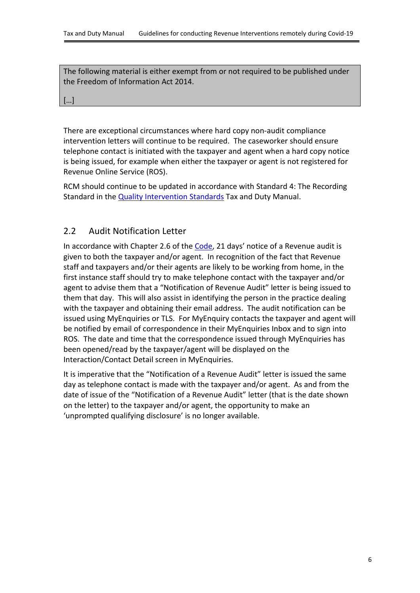[…]

There are exceptional circumstances where hard copy non-audit compliance intervention letters will continue to be required. The caseworker should ensure telephone contact is initiated with the taxpayer and agent when a hard copy notice is being issued, for example when either the taxpayer or agent is not registered for Revenue Online Service (ROS).

RCM should continue to be updated in accordance with Standard 4: The Recording Standard in the [Quality](https://www.revenue.ie/en/tax-professionals/tdm/compliance/audit-and-other-compliance-interventions/quality-audits-and-risk-managment-intervention/quality-intervention-standard.pdf) [Intervention](https://www.revenue.ie/en/tax-professionals/tdm/compliance/audit-and-other-compliance-interventions/quality-audits-and-risk-managment-intervention/quality-intervention-standard.pdf) [Standards](https://www.revenue.ie/en/tax-professionals/tdm/compliance/audit-and-other-compliance-interventions/quality-audits-and-risk-managment-intervention/quality-intervention-standard.pdf) Tax and Duty Manual.

#### <span id="page-5-0"></span>2.2 Audit Notification Letter

In accordance with Chapter 2.6 of the [Code](https://www.revenue.ie/en/self-assessment-and-self-employment/documents/code-of-practice-revenue-audit.pdf), 21 days' notice of a Revenue audit is given to both the taxpayer and/or agent. In recognition of the fact that Revenue staff and taxpayers and/or their agents are likely to be working from home, in the first instance staff should try to make telephone contact with the taxpayer and/or agent to advise them that a "Notification of Revenue Audit" letter is being issued to them that day. This will also assist in identifying the person in the practice dealing with the taxpayer and obtaining their email address. The audit notification can be issued using MyEnquiries or TLS. For MyEnquiry contacts the taxpayer and agent will be notified by email of correspondence in their MyEnquiries Inbox and to sign into ROS. The date and time that the correspondence issued through MyEnquiries has been opened/read by the taxpayer/agent will be displayed on the Interaction/Contact Detail screen in MyEnquiries.

It is imperative that the "Notification of a Revenue Audit" letter is issued the same day as telephone contact is made with the taxpayer and/or agent. As and from the date of issue of the "Notification of a Revenue Audit" letter (that is the date shown on the letter) to the taxpayer and/or agent, the opportunity to make an 'unprompted qualifying disclosure' is no longer available.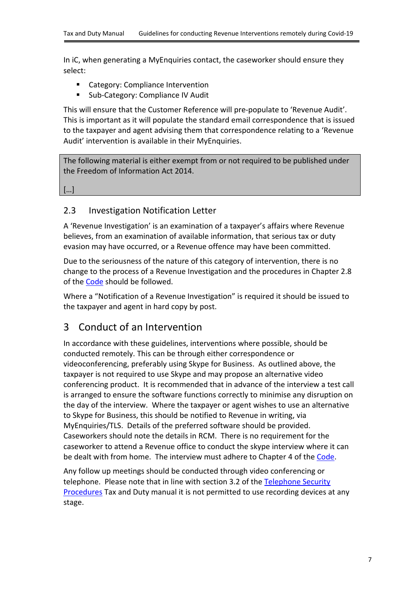In iC, when generating a MyEnquiries contact, the caseworker should ensure they select:

- Category: Compliance Intervention
- Sub-Category: Compliance IV Audit

This will ensure that the Customer Reference will pre-populate to 'Revenue Audit'. This is important as it will populate the standard email correspondence that is issued to the taxpayer and agent advising them that correspondence relating to a 'Revenue Audit' intervention is available in their MyEnquiries.

The following material is either exempt from or not required to be published under the Freedom of Information Act 2014.

[…]

#### <span id="page-6-0"></span>2.3 Investigation Notification Letter

A 'Revenue Investigation' is an examination of a taxpayer's affairs where Revenue believes, from an examination of available information, that serious tax or duty evasion may have occurred, or a Revenue offence may have been committed.

Due to the seriousness of the nature of this category of intervention, there is no change to the process of a Revenue Investigation and the procedures in Chapter 2.8 of the [Code](https://www.revenue.ie/en/self-assessment-and-self-employment/documents/code-of-practice-revenue-audit.pdf) should be followed.

Where a "Notification of a Revenue Investigation" is required it should be issued to the taxpayer and agent in hard copy by post.

### <span id="page-6-1"></span>3 Conduct of an Intervention

In accordance with these guidelines, interventions where possible, should be conducted remotely. This can be through either correspondence or videoconferencing, preferably using Skype for Business. As outlined above, the taxpayer is not required to use Skype and may propose an alternative video conferencing product. It is recommended that in advance of the interview a test call is arranged to ensure the software functions correctly to minimise any disruption on the day of the interview. Where the taxpayer or agent wishes to use an alternative to Skype for Business, this should be notified to Revenue in writing, via MyEnquiries/TLS. Details of the preferred software should be provided. Caseworkers should note the details in RCM. There is no requirement for the caseworker to attend a Revenue office to conduct the skype interview where it can be dealt with from home. The interview must adhere to Chapter 4 of the [Code](https://www.revenue.ie/en/self-assessment-and-self-employment/documents/code-of-practice-revenue-audit.pdf).

Any follow up meetings should be conducted through video conferencing or telephone. Please note that in line with section 3.2 of the [Telephone](https://www.revenue.ie/en/tax-professionals/tdm/income-tax-capital-gains-tax-corporation-tax/misc/misc-14.pdf) [Security](https://www.revenue.ie/en/tax-professionals/tdm/income-tax-capital-gains-tax-corporation-tax/misc/misc-14.pdf) [Procedures](https://www.revenue.ie/en/tax-professionals/tdm/income-tax-capital-gains-tax-corporation-tax/misc/misc-14.pdf) Tax and Duty manual it is not permitted to use recording devices at any stage.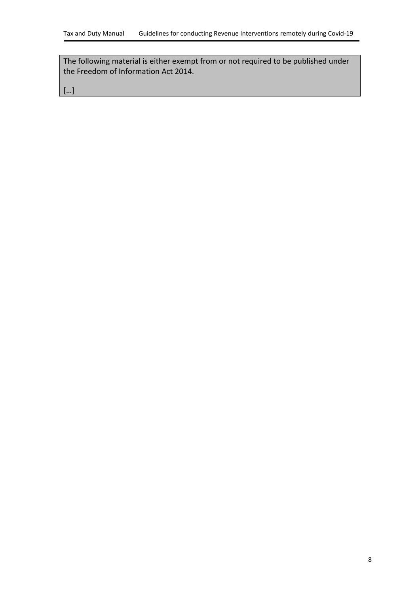[…]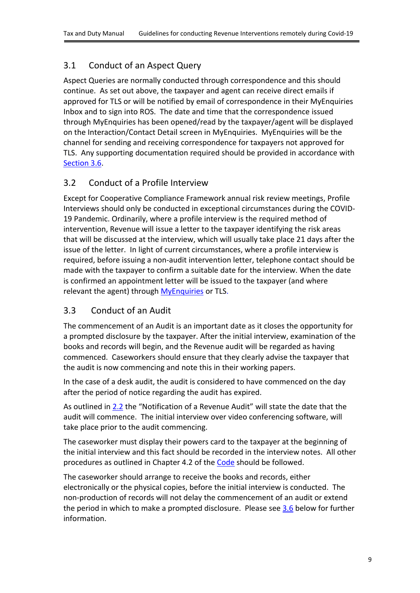### <span id="page-8-0"></span>3.1 Conduct of an Aspect Query

Aspect Queries are normally conducted through correspondence and this should continue. As set out above, the taxpayer and agent can receive direct emails if approved for TLS or will be notified by email of correspondence in their MyEnquiries Inbox and to sign into ROS. The date and time that the correspondence issued through MyEnquiries has been opened/read by the taxpayer/agent will be displayed on the Interaction/Contact Detail screen in MyEnquiries. MyEnquiries will be the channel for sending and receiving correspondence for taxpayers not approved for TLS. Any supporting documentation required should be provided in accordance with [Section](#page-9-2) [3.6.](#page-9-2)

### <span id="page-8-1"></span>3.2 Conduct of a Profile Interview

Except for Cooperative Compliance Framework annual risk review meetings, Profile Interviews should only be conducted in exceptional circumstances during the COVID-19 Pandemic. Ordinarily, where a profile interview is the required method of intervention, Revenue will issue a letter to the taxpayer identifying the risk areas that will be discussed at the interview, which will usually take place 21 days after the issue of the letter. In light of current circumstances, where a profile interview is required, before issuing a non-audit intervention letter, telephone contact should be made with the taxpayer to confirm a suitable date for the interview. When the date is confirmed an appointment letter will be issued to the taxpayer (and where relevant the agent) through [MyEnquiries](https://www.revenue.ie/en/tax-professionals/tdm/income-tax-capital-gains-tax-corporation-tax/part-37/37-00-36.pdf) or TLS.

### <span id="page-8-2"></span>3.3 Conduct of an Audit

The commencement of an Audit is an important date as it closes the opportunity for a prompted disclosure by the taxpayer. After the initial interview, examination of the books and records will begin, and the Revenue audit will be regarded as having commenced. Caseworkers should ensure that they clearly advise the taxpayer that the audit is now commencing and note this in their working papers.

In the case of a desk audit, the audit is considered to have commenced on the day after the period of notice regarding the audit has expired.

As outlined in [2.2](#page-5-0) the "Notification of a Revenue Audit" will state the date that the audit will commence. The initial interview over video conferencing software, will take place prior to the audit commencing.

The caseworker must display their powers card to the taxpayer at the beginning of the initial interview and this fact should be recorded in the interview notes. All other procedures as outlined in Chapter 4.2 of the [Code](https://www.revenue.ie/en/self-assessment-and-self-employment/documents/code-of-practice-revenue-audit.pdf) should be followed.

The caseworker should arrange to receive the books and records, either electronically or the physical copies, before the initial interview is conducted. The non-production of records will not delay the commencement of an audit or extend the period in which to make a prompted disclosure. Please see [3.6](#page-9-2) below for further information.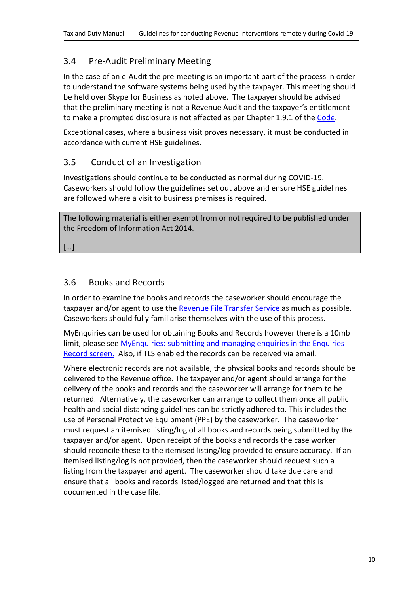### <span id="page-9-0"></span>3.4 Pre-Audit Preliminary Meeting

In the case of an e-Audit the pre-meeting is an important part of the process in order to understand the software systems being used by the taxpayer. This meeting should be held over Skype for Business as noted above. The taxpayer should be advised that the preliminary meeting is not a Revenue Audit and the taxpayer's entitlement to make a prompted disclosure is not affected as per Chapter 1.9.1 of the [Code.](https://www.revenue.ie/en/self-assessment-and-self-employment/documents/code-of-practice-revenue-audit.pdf)

Exceptional cases, where a business visit proves necessary, it must be conducted in accordance with current HSE guidelines.

#### <span id="page-9-1"></span>3.5 Conduct of an Investigation

Investigations should continue to be conducted as normal during COVID-19. Caseworkers should follow the guidelines set out above and ensure HSE guidelines are followed where a visit to business premises is required.

The following material is either exempt from or not required to be published under the Freedom of Information Act 2014.

[…]

#### <span id="page-9-2"></span>3.6 Books and Records

In order to examine the books and records the caseworker should encourage the taxpayer and/or agent to use the [Revenue](https://www.revenue.ie/en/tax-professionals/tdm/income-tax-capital-gains-tax-corporation-tax/part-37/37-00-36.pdf) [File](https://www.revenue.ie/en/tax-professionals/tdm/income-tax-capital-gains-tax-corporation-tax/part-37/37-00-36.pdf) [Transfer](https://www.revenue.ie/en/tax-professionals/tdm/income-tax-capital-gains-tax-corporation-tax/part-37/37-00-36.pdf) [Service](https://www.revenue.ie/en/tax-professionals/tdm/income-tax-capital-gains-tax-corporation-tax/part-37/37-00-36.pdf) as much as possible. Caseworkers should fully familiarise themselves with the use of this process.

MyEnquiries can be used for obtaining Books and Records however there is a 10mb limit, please see [MyEnquiries:](https://www.revenue.ie/en/tax-professionals/tdm/income-tax-capital-gains-tax-corporation-tax/part-37/37-00-36B.pdf) [submitting](https://www.revenue.ie/en/tax-professionals/tdm/income-tax-capital-gains-tax-corporation-tax/part-37/37-00-36B.pdf) [and](https://www.revenue.ie/en/tax-professionals/tdm/income-tax-capital-gains-tax-corporation-tax/part-37/37-00-36B.pdf) [managing](https://www.revenue.ie/en/tax-professionals/tdm/income-tax-capital-gains-tax-corporation-tax/part-37/37-00-36B.pdf) [enquiries](https://www.revenue.ie/en/tax-professionals/tdm/income-tax-capital-gains-tax-corporation-tax/part-37/37-00-36B.pdf) [in](https://www.revenue.ie/en/tax-professionals/tdm/income-tax-capital-gains-tax-corporation-tax/part-37/37-00-36B.pdf) [the](https://www.revenue.ie/en/tax-professionals/tdm/income-tax-capital-gains-tax-corporation-tax/part-37/37-00-36B.pdf) [Enquiries](https://www.revenue.ie/en/tax-professionals/tdm/income-tax-capital-gains-tax-corporation-tax/part-37/37-00-36B.pdf) [Record](https://www.revenue.ie/en/tax-professionals/tdm/income-tax-capital-gains-tax-corporation-tax/part-37/37-00-36B.pdf) [screen.](https://www.revenue.ie/en/tax-professionals/tdm/income-tax-capital-gains-tax-corporation-tax/part-37/37-00-36B.pdf) Also, if TLS enabled the records can be received via email.

Where electronic records are not available, the physical books and records should be delivered to the Revenue office. The taxpayer and/or agent should arrange for the delivery of the books and records and the caseworker will arrange for them to be returned. Alternatively, the caseworker can arrange to collect them once all public health and social distancing guidelines can be strictly adhered to. This includes the use of Personal Protective Equipment (PPE) by the caseworker. The caseworker must request an itemised listing/log of all books and records being submitted by the taxpayer and/or agent. Upon receipt of the books and records the case worker should reconcile these to the itemised listing/log provided to ensure accuracy. If an itemised listing/log is not provided, then the caseworker should request such a listing from the taxpayer and agent. The caseworker should take due care and ensure that all books and records listed/logged are returned and that this is documented in the case file.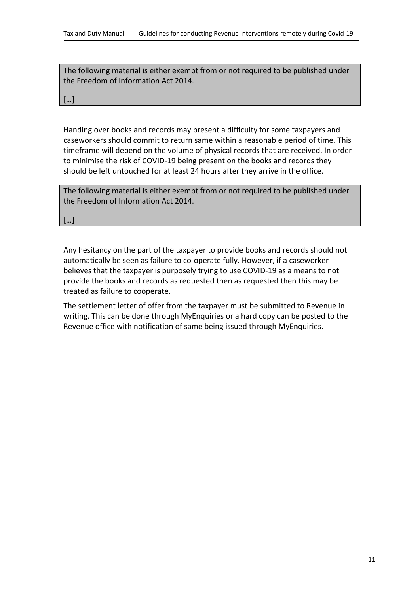[…]

Handing over books and records may present a difficulty for some taxpayers and caseworkers should commit to return same within a reasonable period of time. This timeframe will depend on the volume of physical records that are received. In order to minimise the risk of COVID-19 being present on the books and records they should be left untouched for at least 24 hours after they arrive in the office.

The following material is either exempt from or not required to be published under the Freedom of Information Act 2014.

[…]

Any hesitancy on the part of the taxpayer to provide books and records should not automatically be seen as failure to co-operate fully. However, if a caseworker believes that the taxpayer is purposely trying to use COVID-19 as a means to not provide the books and records as requested then as requested then this may be treated as failure to cooperate.

The settlement letter of offer from the taxpayer must be submitted to Revenue in writing. This can be done through MyEnquiries or a hard copy can be posted to the Revenue office with notification of same being issued through MyEnquiries.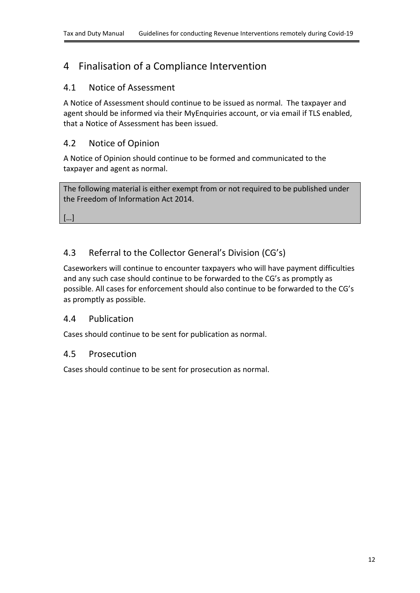## <span id="page-11-0"></span>4 Finalisation of a Compliance Intervention

### <span id="page-11-1"></span>4.1 Notice of Assessment

A Notice of Assessment should continue to be issued as normal. The taxpayer and agent should be informed via their MyEnquiries account, or via email if TLS enabled, that a Notice of Assessment has been issued.

### <span id="page-11-2"></span>4.2 Notice of Opinion

A Notice of Opinion should continue to be formed and communicated to the taxpayer and agent as normal.

The following material is either exempt from or not required to be published under the Freedom of Information Act 2014.

[…]

### <span id="page-11-3"></span>4.3 Referral to the Collector General's Division (CG's)

Caseworkers will continue to encounter taxpayers who will have payment difficulties and any such case should continue to be forwarded to the CG's as promptly as possible. All cases for enforcement should also continue to be forwarded to the CG's as promptly as possible.

#### <span id="page-11-4"></span>4.4 Publication

Cases should continue to be sent for publication as normal.

#### <span id="page-11-5"></span>4.5 Prosecution

Cases should continue to be sent for prosecution as normal.